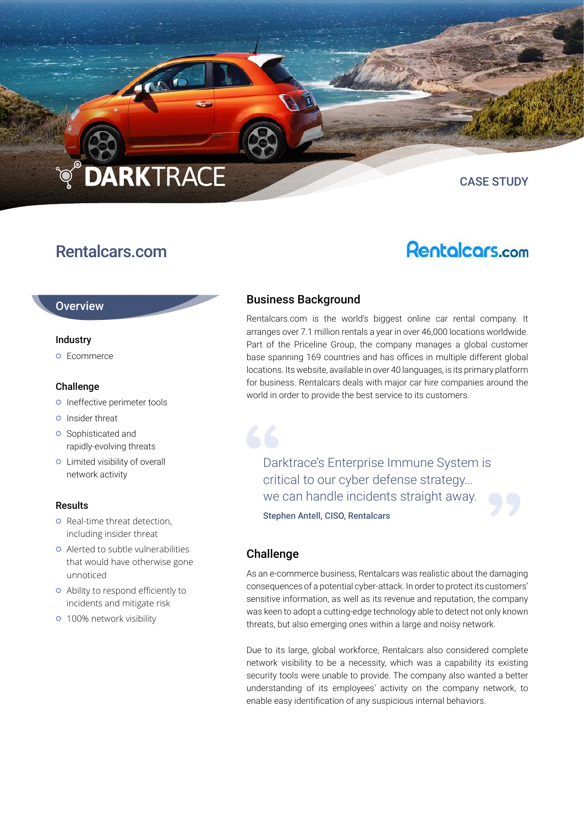# **DARKTRACE**

## Rentalcars.com

**Rentalcars.com** 

CASE STUDY

#### **Overview**

#### Industry

**o** Ecommerce

#### Challenge

- o Ineffective perimeter tools
- **o** Insider threat
- **o** Sophisticated and rapidly-evolving threats
- **o** Limited visibility of overall network activity

#### Results

- **o** Real-time threat detection, including insider threat
- Alerted to subtle vulnerabilities that would have otherwise gone unnoticed
- Ability to respond efficiently to incidents and mitigate risk
- **o** 100% network visibility

### Business Background

Rentalcars.com is the world's biggest online car rental company. It arranges over 7.1 million rentals a year in over 46,000 locations worldwide. Part of the Priceline Group, the company manages a global customer base spanning 169 countries and has offices in multiple different global locations. Its website, available in over 40 languages, is its primary platform for business. Rentalcars deals with major car hire companies around the world in order to provide the best service to its customers.

Darktrace's Enterprise Immune System is critical to our cyber defense strategy… we can handle incidents straight away. Stephen Antell, CISO, Rentalcars

#### Challenge

As an e-commerce business, Rentalcars was realistic about the damaging consequences of a potential cyber-attack. In order to protect its customers' sensitive information, as well as its revenue and reputation, the company was keen to adopt a cutting-edge technology able to detect not only known threats, but also emerging ones within a large and noisy network.

Due to its large, global workforce, Rentalcars also considered complete network visibility to be a necessity, which was a capability its existing security tools were unable to provide. The company also wanted a better understanding of its employees' activity on the company network, to enable easy identification of any suspicious internal behaviors.